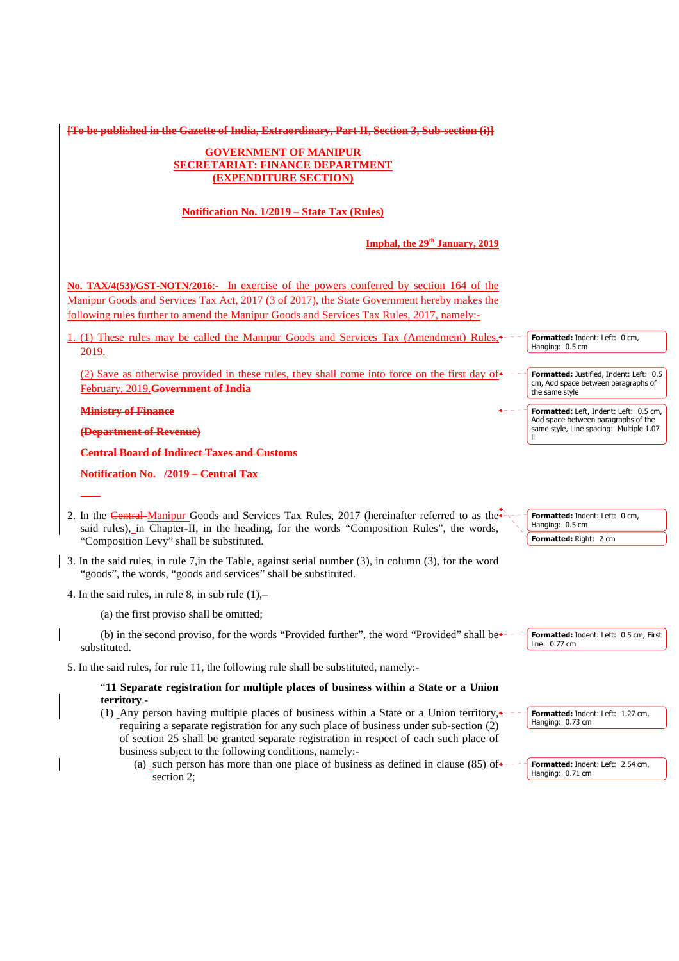**[To be published in the Gazette of India, Extraordinary, Part II, Section 3, Sub-section (i)]**

# **GOVERNMENT OF MANIPUR SECRETARIAT: FINANCE DEPARTMENT (EXPENDITURE SECTION)**

# **Notification No. 1/2019 – State Tax (Rules)**

# **Imphal, the 29th January, 2019**

No. TAX/4(53)/GST-NOTN/2016:- In exercise of the powers conferred by section 164 of the Manipur Goods and Services Tax Act, 2017 (3 of 2017), the State Government hereby makes the following rules further to amend the Manipur Goods and Services Tax Rules, 2017, namely:-

1. (1) These rules may be called the Manipur Goods and Services Tax (Amendment) Rules, 2019.

(2) Save as otherwise provided in these rules, they shall come into force on the first day of February, 2019.**Government of India**

**Ministry of Finance**

**(Department of Revenue)**

**Central Board of Indirect Taxes and Customs**

**Notification No. /2019 – Central Tax**

- 2. In the Central-Manipur Goods and Services Tax Rules, 2017 (hereinafter referred to as the said rules), in Chapter-II, in the heading, for the words "Composition Rules", the words, "Composition Levy" shall be substituted.
- 3. In the said rules, in rule 7,in the Table, against serial number (3), in column (3), for the word "goods", the words, "goods and services" shall be substituted.
- 4. In the said rules, in rule 8, in sub rule (1),–

(a) the first proviso shall be omitted;

(b) in the second proviso, for the words "Provided further", the word "Provided" shall be $\ast$ substituted.

5. In the said rules, for rule 11, the following rule shall be substituted, namely:-

# "**11 Separate registration for multiple places of business within a State or a Union territory**.-

- (1) Any person having multiple places of business within a State or a Union territory, requiring a separate registration for any such place of business under sub-section (2) of section 25 shall be granted separate registration in respect of each such place of business subject to the following conditions, namely:-
	- (a) such person has more than one place of business as defined in clause  $(85)$  of  $\leftarrow$ section 2;

**Formatted:** Indent: Left: 0 cm, Hanging: 0.5 cm

**Formatted:** Justified, Indent: Left: 0.5 cm, Add space between paragraphs of the same style

**Formatted:** Left, Indent: Left: 0.5 cm, Add space between paragraphs of the same style, Line spacing: Multiple 1.07 li

**Formatted:** Indent: Left: 0 cm, Hanging: 0.5 cm **Formatted:** Right: 2 cm

**Formatted:** Indent: Left: 0.5 cm, First line: 0.77 cm

**Formatted:** Indent: Left: 1.27 cm, Hanging: 0.73 cm

**Formatted:** Indent: Left: 2.54 cm, Hanging: 0.71 cm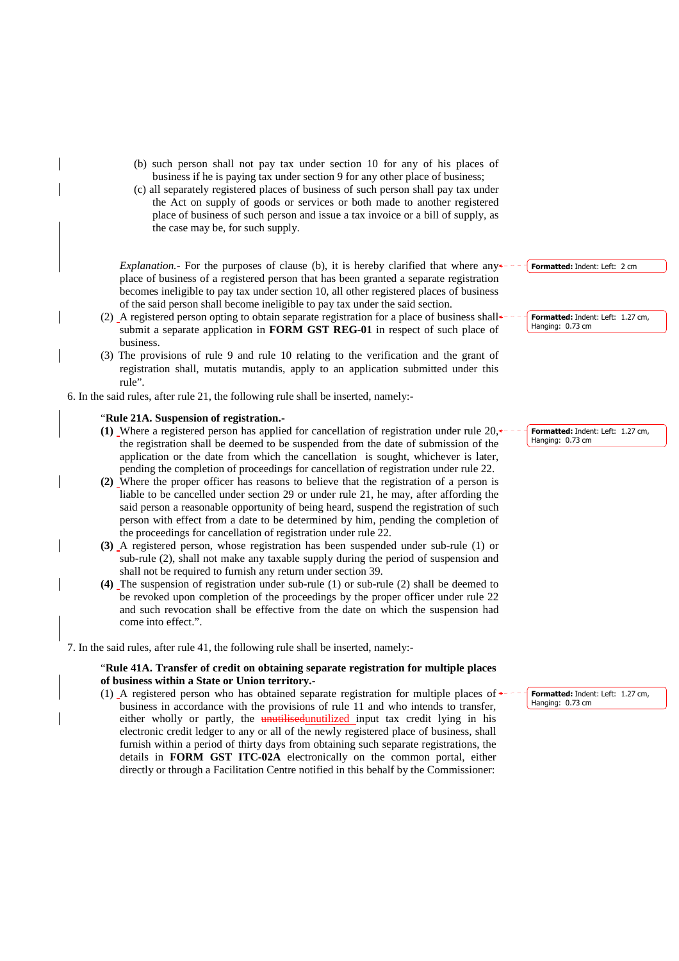- (b) such person shall not pay tax under section 10 for any of his places of business if he is paying tax under section 9 for any other place of business;
- (c) all separately registered places of business of such person shall pay tax under the Act on supply of goods or services or both made to another registered place of business of such person and issue a tax invoice or a bill of supply, as the case may be, for such supply.

*Explanation.*- For the purposes of clause (b), it is hereby clarified that where any place of business of a registered person that has been granted a separate registration becomes ineligible to pay tax under section 10, all other registered places of business of the said person shall become ineligible to pay tax under the said section.

- (2) A registered person opting to obtain separate registration for a place of business shall submit a separate application in **FORM GST REG-01** in respect of such place of business.
- (3) The provisions of rule 9 and rule 10 relating to the verification and the grant of registration shall, mutatis mutandis, apply to an application submitted under this rule".

6. In the said rules, after rule 21, the following rule shall be inserted, namely:-

#### "**Rule 21A. Suspension of registration.-**

- **(1)** Where a registered person has applied for cancellation of registration under rule 20, the registration shall be deemed to be suspended from the date of submission of the application or the date from which the cancellation is sought, whichever is later, pending the completion of proceedings for cancellation of registration under rule 22.
- **(2)** Where the proper officer has reasons to believe that the registration of a person is liable to be cancelled under section 29 or under rule 21, he may, after affording the said person a reasonable opportunity of being heard, suspend the registration of such person with effect from a date to be determined by him, pending the completion of the proceedings for cancellation of registration under rule 22.
- **(3)** A registered person, whose registration has been suspended under sub-rule (1) or sub-rule (2), shall not make any taxable supply during the period of suspension and shall not be required to furnish any return under section 39.
- **(4)** The suspension of registration under sub-rule (1) or sub-rule (2) shall be deemed to be revoked upon completion of the proceedings by the proper officer under rule 22 and such revocation shall be effective from the date on which the suspension had come into effect.".

7. In the said rules, after rule 41, the following rule shall be inserted, namely:-

### "**Rule 41A. Transfer of credit on obtaining separate registration for multiple places of business within a State or Union territory.-**

(1) A registered person who has obtained separate registration for multiple places of business in accordance with the provisions of rule 11 and who intends to transfer, either wholly or partly, the unutilized unutilized input tax credit lying in his electronic credit ledger to any or all of the newly registered place of business, shall furnish within a period of thirty days from obtaining such separate registrations, the details in **FORM GST ITC-02A** electronically on the common portal, either directly or through a Facilitation Centre notified in this behalf by the Commissioner:

**Formatted:** Indent: Left: 2 cm

**Formatted:** Indent: Left: 1.27 cm, Hanging: 0.73 cm

**Formatted:** Indent: Left: 1.27 cm, Hanging: 0.73 cm

**Formatted:** Indent: Left: 1.27 cm, Hanging: 0.73 cm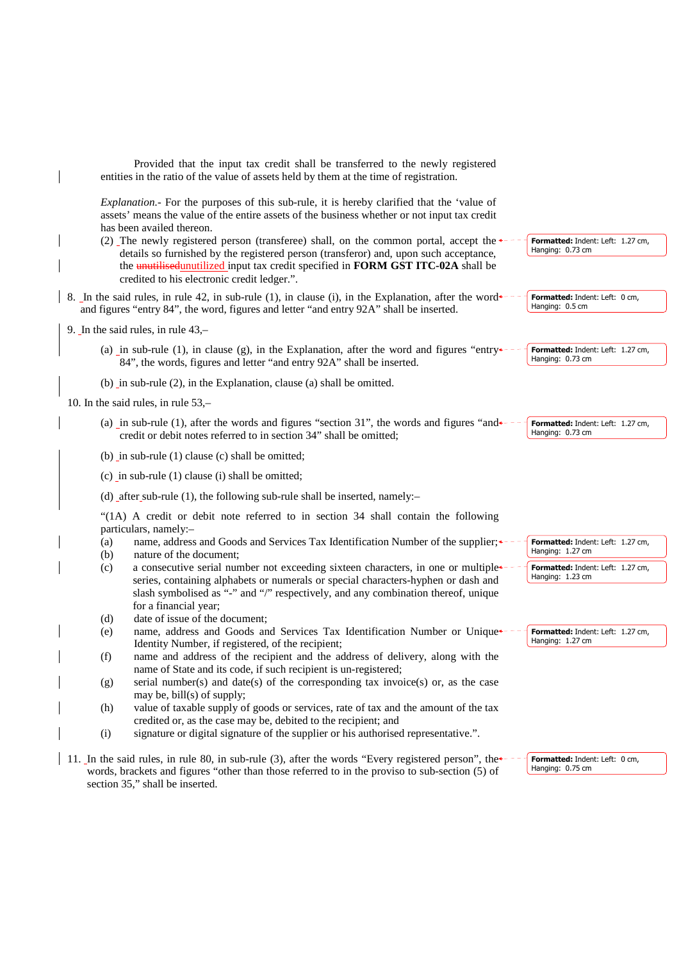| Provided that the input tax credit shall be transferred to the newly registered<br>entities in the ratio of the value of assets held by them at the time of registration.                                                                                                                                       |                                                       |
|-----------------------------------------------------------------------------------------------------------------------------------------------------------------------------------------------------------------------------------------------------------------------------------------------------------------|-------------------------------------------------------|
| Explanation.- For the purposes of this sub-rule, it is hereby clarified that the 'value of<br>assets' means the value of the entire assets of the business whether or not input tax credit<br>has been availed thereon.<br>(2) The newly registered person (transferee) shall, on the common portal, accept the | Formatted: Indent: Left: 1.27 cm,                     |
| details so furnished by the registered person (transferor) and, upon such acceptance,<br>the unutilised unutilized input tax credit specified in FORM GST ITC-02A shall be<br>credited to his electronic credit ledger.".                                                                                       | Hanging: 0.73 cm                                      |
| 8. In the said rules, in rule 42, in sub-rule (1), in clause (i), in the Explanation, after the word $\star$ -<br>and figures "entry 84", the word, figures and letter "and entry 92A" shall be inserted.                                                                                                       | Formatted: Indent: Left: 0 cm,<br>Hanging: 0.5 cm     |
| 9. In the said rules, in rule $43, -$                                                                                                                                                                                                                                                                           |                                                       |
| (a) in sub-rule (1), in clause (g), in the Explanation, after the word and figures "entry $\star$ -<br>84", the words, figures and letter "and entry 92A" shall be inserted.                                                                                                                                    | Formatted: Indent: Left: 1.27 cm,<br>Hanging: 0.73 cm |
| (b) in sub-rule (2), in the Explanation, clause (a) shall be omitted.                                                                                                                                                                                                                                           |                                                       |
| 10. In the said rules, in rule $53$ ,-                                                                                                                                                                                                                                                                          |                                                       |
| (a) in sub-rule (1), after the words and figures "section 31", the words and figures "and<br>credit or debit notes referred to in section 34" shall be omitted;                                                                                                                                                 | Formatted: Indent: Left: 1.27 cm,<br>Hanging: 0.73 cm |
| (b) in sub-rule $(1)$ clause $(c)$ shall be omitted;                                                                                                                                                                                                                                                            |                                                       |
| $(c)$ in sub-rule $(1)$ clause $(i)$ shall be omitted;                                                                                                                                                                                                                                                          |                                                       |
| (d) after sub-rule $(1)$ , the following sub-rule shall be inserted, namely:-                                                                                                                                                                                                                                   |                                                       |
| "(1A) A credit or debit note referred to in section 34 shall contain the following                                                                                                                                                                                                                              |                                                       |
| particulars, namely:-                                                                                                                                                                                                                                                                                           |                                                       |
| name, address and Goods and Services Tax Identification Number of the supplier;<br>(a)<br>nature of the document;<br>(b)                                                                                                                                                                                        | Formatted: Indent: Left: 1.27 cm,<br>Hanging: 1.27 cm |
| a consecutive serial number not exceeding sixteen characters, in one or multiple<br>(c)                                                                                                                                                                                                                         | Formatted: Indent: Left: 1.27 cm,                     |
| series, containing alphabets or numerals or special characters-hyphen or dash and<br>slash symbolised as "-" and "/" respectively, and any combination thereof, unique                                                                                                                                          | Hanging: 1.23 cm                                      |
| for a financial year;                                                                                                                                                                                                                                                                                           |                                                       |
| date of issue of the document;<br>(d)                                                                                                                                                                                                                                                                           |                                                       |
| name, address and Goods and Services Tax Identification Number or Unique<br>(e)<br>Identity Number, if registered, of the recipient;                                                                                                                                                                            | Formatted: Indent: Left: 1.27 cm,<br>Hanging: 1.27 cm |
| name and address of the recipient and the address of delivery, along with the<br>(f)                                                                                                                                                                                                                            |                                                       |
| name of State and its code, if such recipient is un-registered;<br>serial number(s) and date(s) of the corresponding tax invoice(s) or, as the case<br>(g)                                                                                                                                                      |                                                       |
| may be, bill(s) of supply;                                                                                                                                                                                                                                                                                      |                                                       |
| value of taxable supply of goods or services, rate of tax and the amount of the tax<br>(h)                                                                                                                                                                                                                      |                                                       |
| credited or, as the case may be, debited to the recipient; and                                                                                                                                                                                                                                                  |                                                       |
| signature or digital signature of the supplier or his authorised representative.".<br>(i)                                                                                                                                                                                                                       |                                                       |
| 11. In the said rules, in rule 80, in sub-rule (3), after the words "Every registered person", the<br>words, brackets and figures "other than those referred to in the proviso to sub-section (5) of<br>section 35," shall be inserted.                                                                         | Formatted: Indent: Left: 0 cm,<br>Hanging: 0.75 cm    |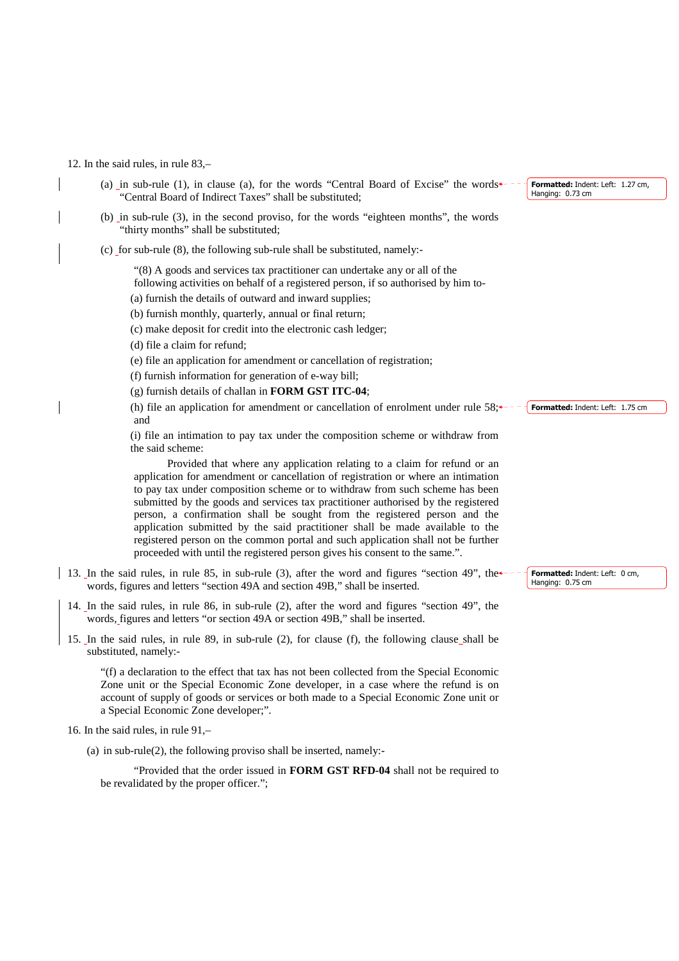#### 12. In the said rules, in rule 83,–

- (a) in sub-rule (1), in clause (a), for the words "Central Board of Excise" the words $\leftarrow$ "Central Board of Indirect Taxes" shall be substituted;
- (b) in sub-rule (3), in the second proviso, for the words "eighteen months", the words "thirty months" shall be substituted;
- (c) for sub-rule (8), the following sub-rule shall be substituted, namely:-

"(8) A goods and services tax practitioner can undertake any or all of the

following activities on behalf of a registered person, if so authorised by him to-

(a) furnish the details of outward and inward supplies;

(b) furnish monthly, quarterly, annual or final return;

(c) make deposit for credit into the electronic cash ledger;

(d) file a claim for refund;

(e) file an application for amendment or cancellation of registration;

(f) furnish information for generation of e-way bill;

(g) furnish details of challan in **FORM GST ITC-04**;

(h) file an application for amendment or cancellation of enrolment under rule  $58; \leftarrow - -$  **Formatted:** Indent: Left: 1.75 cm and

 (i) file an intimation to pay tax under the composition scheme or withdraw from the said scheme:

Provided that where any application relating to a claim for refund or an application for amendment or cancellation of registration or where an intimation to pay tax under composition scheme or to withdraw from such scheme has been submitted by the goods and services tax practitioner authorised by the registered person, a confirmation shall be sought from the registered person and the application submitted by the said practitioner shall be made available to the registered person on the common portal and such application shall not be further proceeded with until the registered person gives his consent to the same.".

- 13. In the said rules, in rule 85, in sub-rule (3), after the word and figures "section 49", the words, figures and letters "section 49A and section 49B," shall be inserted.
- 14. In the said rules, in rule 86, in sub-rule (2), after the word and figures "section 49", the words, figures and letters "or section 49A or section 49B," shall be inserted.
- 15. In the said rules, in rule 89, in sub-rule (2), for clause (f), the following clause shall be substituted, namely:-

"(f) a declaration to the effect that tax has not been collected from the Special Economic Zone unit or the Special Economic Zone developer, in a case where the refund is on account of supply of goods or services or both made to a Special Economic Zone unit or a Special Economic Zone developer;".

- 16. In the said rules, in rule 91,–
	- (a) in sub-rule(2), the following proviso shall be inserted, namely:-

"Provided that the order issued in **FORM GST RFD-04** shall not be required to be revalidated by the proper officer.";

**Formatted:** Indent: Left: 1.27 cm, Hanging: 0.73 cm

**Formatted:** Indent: Left: 0 cm, Hanging: 0.75 cm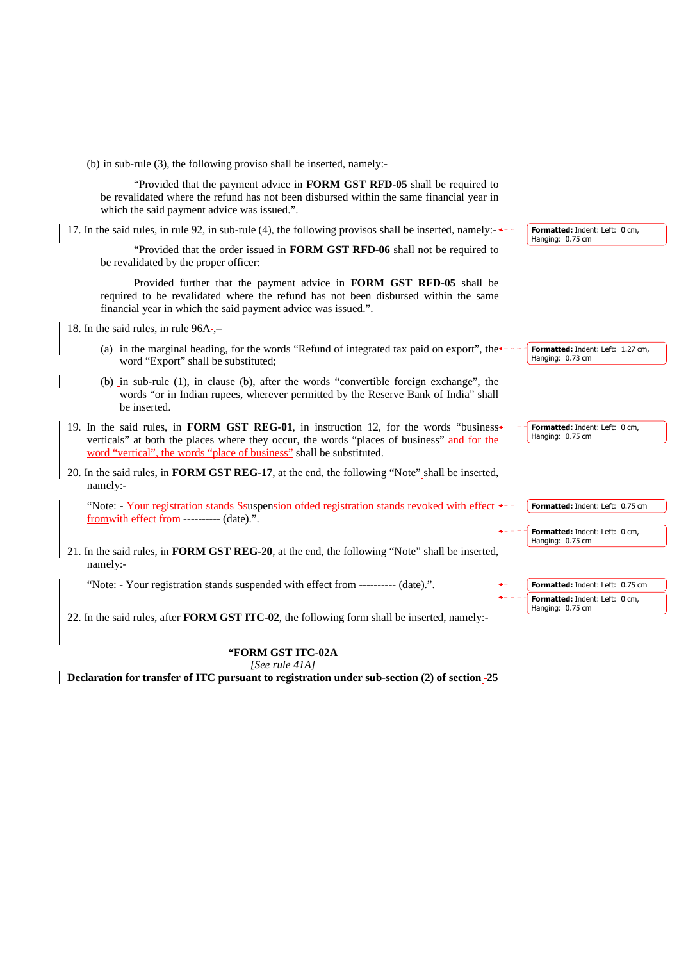| (b) in sub-rule $(3)$ , the following proviso shall be inserted, namely:-                                                                                                                                                                                    |                                                       |
|--------------------------------------------------------------------------------------------------------------------------------------------------------------------------------------------------------------------------------------------------------------|-------------------------------------------------------|
| "Provided that the payment advice in FORM GST RFD-05 shall be required to<br>be revalidated where the refund has not been disbursed within the same financial year in<br>which the said payment advice was issued.".                                         |                                                       |
| 17. In the said rules, in rule 92, in sub-rule (4), the following provisos shall be inserted, namely:                                                                                                                                                        | Formatted: Indent: Left: 0 cm,<br>Hanging: 0.75 cm    |
| "Provided that the order issued in FORM GST RFD-06 shall not be required to<br>be revalidated by the proper officer:                                                                                                                                         |                                                       |
| Provided further that the payment advice in FORM GST RFD-05 shall be<br>required to be revalidated where the refund has not been disbursed within the same<br>financial year in which the said payment advice was issued.".                                  |                                                       |
| 18. In the said rules, in rule 96A-,-                                                                                                                                                                                                                        |                                                       |
| (a) in the marginal heading, for the words "Refund of integrated tax paid on export", the<br>word "Export" shall be substituted;                                                                                                                             | Formatted: Indent: Left: 1.27 cm,<br>Hanging: 0.73 cm |
| (b) in sub-rule (1), in clause (b), after the words "convertible foreign exchange", the<br>words "or in Indian rupees, wherever permitted by the Reserve Bank of India" shall<br>be inserted.                                                                |                                                       |
| 19. In the said rules, in FORM GST REG-01, in instruction 12, for the words "business+<br>verticals" at both the places where they occur, the words "places of business" and for the<br>word "vertical", the words "place of business" shall be substituted. | Formatted: Indent: Left: 0 cm,<br>Hanging: 0.75 cm    |
| 20. In the said rules, in FORM GST REG-17, at the end, the following "Note" shall be inserted,<br>namely:-                                                                                                                                                   |                                                       |
| "Note: - Your registration stands Ssuspension of ded registration stands revoked with effect +<br>from with effect from --------- (date).".                                                                                                                  | Formatted: Indent: Left: 0.75 cm                      |
|                                                                                                                                                                                                                                                              | Formatted: Indent: Left: 0 cm,<br>Hanging: 0.75 cm    |
| 21. In the said rules, in FORM GST REG-20, at the end, the following "Note" shall be inserted,<br>namely:-                                                                                                                                                   |                                                       |
| "Note: - Your registration stands suspended with effect from ---------- (date).".                                                                                                                                                                            | Formatted: Indent: Left: 0.75 cm                      |
| 22. In the said rules, after <b>FORM GST ITC-02</b> , the following form shall be inserted, namely:-                                                                                                                                                         | Formatted: Indent: Left: 0 cm,<br>Hanging: 0.75 cm    |
|                                                                                                                                                                                                                                                              |                                                       |
| <b><i>KEODM CAT TEC 024</i></b>                                                                                                                                                                                                                              |                                                       |

## **"FORM GST ITC-02A**

*[See rule 41A]* 

**Declaration for transfer of ITC pursuant to registration under sub-section (2) of section 25**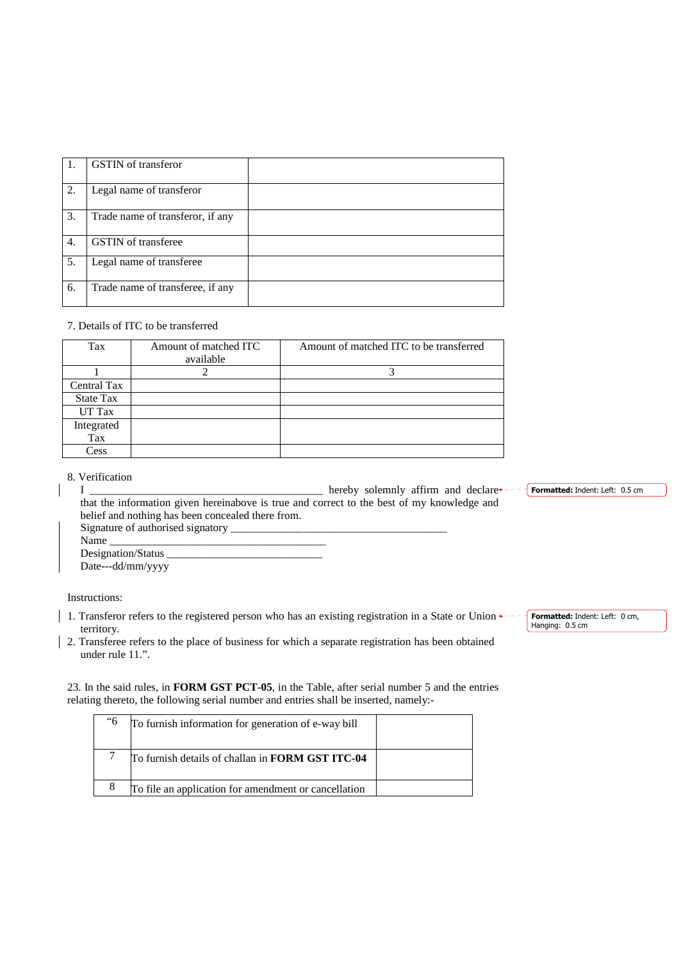| 1. | <b>GSTIN</b> of transferor       |  |
|----|----------------------------------|--|
| 2. | Legal name of transferor         |  |
| 3. | Trade name of transferor, if any |  |
| 4. | <b>GSTIN</b> of transferee       |  |
| 5. | Legal name of transferee         |  |
| 6. | Trade name of transferee, if any |  |

## 7. Details of ITC to be transferred

| Tax              | Amount of matched ITC<br>available | Amount of matched ITC to be transferred |
|------------------|------------------------------------|-----------------------------------------|
|                  |                                    | 2                                       |
| Central Tax      |                                    |                                         |
| <b>State Tax</b> |                                    |                                         |
| UT Tax           |                                    |                                         |
| Integrated       |                                    |                                         |
| Tax              |                                    |                                         |
| Cess             |                                    |                                         |

### 8. Verification

|                                                                                            | hereby solemnly affirm and declare |  | <b>Formatted: Indent: Left: 0.5 cm</b> |
|--------------------------------------------------------------------------------------------|------------------------------------|--|----------------------------------------|
| that the information given hereinabove is true and correct to the best of my knowledge and |                                    |  |                                        |
| belief and nothing has been concealed there from.                                          |                                    |  |                                        |
|                                                                                            |                                    |  |                                        |
| Name                                                                                       |                                    |  |                                        |
| Designation/Status                                                                         |                                    |  |                                        |
| Date---dd/mm/yyyy                                                                          |                                    |  |                                        |

Instructions:

- 1. Transferor refers to the registered person who has an existing registration in a State or Union  $\leftarrow$  territory.
- 2. Transferee refers to the place of business for which a separate registration has been obtained under rule 11.".

23. In the said rules, in **FORM GST PCT-05**, in the Table, after serial number 5 and the entries relating thereto, the following serial number and entries shall be inserted, namely:-

| <sup>6</sup> 6 | To furnish information for generation of e-way bill  |  |
|----------------|------------------------------------------------------|--|
|                | To furnish details of challan in FORM GST ITC-04     |  |
| 8              | To file an application for amendment or cancellation |  |

**Formatted:** Indent: Left: 0 cm, Hanging: 0.5 cm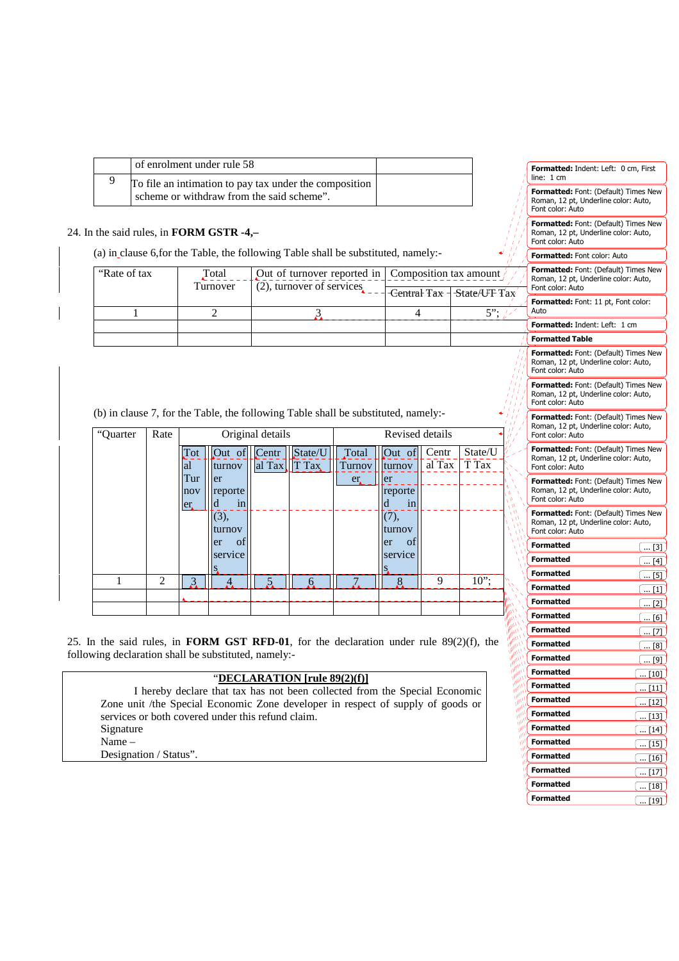| of enrolment under rule 58                                                                          |  |  |
|-----------------------------------------------------------------------------------------------------|--|--|
| To file an intimation to pay tax under the composition<br>scheme or withdraw from the said scheme". |  |  |

# 24. In the said rules, in **FORM GSTR -4,–**

(a) in clause 6,for the Table, the following Table shall be substituted, namely:-

| "Rate of tax" | Total<br>Turnover | Out of turnover reported in   Composition tax amount /<br>(2), turnover of services | -Central Tax $\exists$ State/UT Tax | Form<br>Roma<br>Font ( |
|---------------|-------------------|-------------------------------------------------------------------------------------|-------------------------------------|------------------------|
|               |                   |                                                                                     | 5".                                 | Form<br>Auto           |
|               |                   |                                                                                     |                                     | Form                   |
|               |                   |                                                                                     |                                     | Form                   |

| "Quarter | Rate           |     |          | Original details |         |        | Revised details |        |         |  |
|----------|----------------|-----|----------|------------------|---------|--------|-----------------|--------|---------|--|
|          |                | Tot | Out of   | Centr            | State/U | Total  | Out of          | Centr  | State/U |  |
|          |                | al  | turnov   | al Tax           | T Tax   | Turnov | turnov          | al Tax | T Tax   |  |
|          |                | Tur | er       |                  |         | er.    | er              |        |         |  |
|          |                | nov | reporte  |                  |         |        | reporte         |        |         |  |
|          |                | er. | d<br>1n  |                  |         |        | 1n              |        |         |  |
|          |                |     | (3),     |                  |         |        | (7),            |        |         |  |
|          |                |     | turnov   |                  |         |        | turnov          |        |         |  |
|          |                |     | οf<br>er |                  |         |        | of<br>er        |        |         |  |
|          |                |     | service  |                  |         |        | service         |        |         |  |
|          |                |     |          |                  |         |        |                 |        |         |  |
|          |                |     |          |                  |         |        |                 |        |         |  |
| 1        | $\mathfrak{D}$ |     |          |                  | h       |        |                 | 9      |         |  |
|          |                | 3   |          |                  |         |        | 8               |        | $10$ "; |  |

25. In the said rules, in **FORM GST RFD-01**, for the declaration under rule 89(2)(f), the following declaration shall be substituted, namely:-

#### "**DECLARATION [rule 89(2)(f)]**

 I hereby declare that tax has not been collected from the Special Economic Zone unit /the Special Economic Zone developer in respect of supply of goods or services or both covered under this refund claim. Signature Name –

Designation / Status".

|                                      | <b>Formatted:</b> Indent: Left: 0 cm, First<br>line:<br>1 cm                                            |
|--------------------------------------|---------------------------------------------------------------------------------------------------------|
|                                      | Formatted: Font: (Default) Times New<br>Roman, 12 pt, Underline color: Auto,<br>Font color: Auto        |
|                                      | Formatted: Font: (Default) Times New<br>Roman, 12 pt, Underline color: Auto,<br>Font color: Auto        |
|                                      | Formatted: Font color: Auto                                                                             |
|                                      | Formatted: Font: (Default) Times New<br>Roman, 12 pt, Underline color: Auto,<br>Font color: Auto        |
| ax                                   | <b>Formatted:</b> Font: 11 pt, Font color:<br>Auto                                                      |
|                                      | <b>Formatted:</b> Indent: Left:<br>1 cm                                                                 |
|                                      | <b>Formatted Table</b>                                                                                  |
|                                      | Formatted: Font: (Default) Times New<br>Roman, 12 pt, Underline color: Auto,<br>Font color: Auto        |
|                                      | Formatted: Font: (Default) Times New<br>Roman, 12 pt, Underline color: Auto,<br>Font color: Auto        |
|                                      | Formatted: Font: (Default) Times New<br>Roman, 12 pt, Underline color: Auto,<br>Font color: Auto        |
|                                      | <b>Formatted:</b> Font: (Default) Times New<br>Roman, 12 pt, Underline color: Auto,<br>Font color: Auto |
|                                      | Formatted: Font: (Default) Times New<br>Roman, 12 pt, Underline color: Auto,<br>Font color: Auto        |
|                                      | Formatted: Font: (Default) Times New<br>Roman, 12 pt, Underline color: Auto,<br>Font color: Auto        |
|                                      | <b>Formatted</b><br>[3]                                                                                 |
|                                      | Formatted<br>[4]                                                                                        |
|                                      | Formatted<br>[5]                                                                                        |
|                                      | Formatted<br>[1]                                                                                        |
|                                      | <b>Formatted</b><br>[2]                                                                                 |
|                                      | <b>Formatted</b><br>[6]                                                                                 |
|                                      | Formatted<br>[7                                                                                         |
|                                      | Formatted<br>[8]                                                                                        |
|                                      | Formatted<br>[9]                                                                                        |
|                                      | Formatted<br>10]                                                                                        |
| m,<br><b>Critical</b><br>$n_{h_0}$   | Formatted<br>$[11]$                                                                                     |
| <sup>Lin</sup> n,<br>in <sub>n</sub> | $\cdots$<br>Formatted<br>[12]                                                                           |
| in <sub>n</sub><br>$\eta_{\tilde q}$ | Formatted<br>$[13]$                                                                                     |
| $m_{\tilde{t}}$<br>$u_0^+$           | <br><b>Formatted</b><br>14                                                                              |
| $\eta_{ij}$<br>اس                    | <br>Formatted<br>15                                                                                     |
| n,<br>μf                             | <b>Formatted</b>                                                                                        |
| W,<br>W                              | 16<br><u></u><br>Formatted                                                                              |
| W<br>٧                               | [17]<br><b>Formatted</b><br>[18]                                                                        |
|                                      | <br>Formatted                                                                                           |
|                                      | I<br>[19]<br>                                                                                           |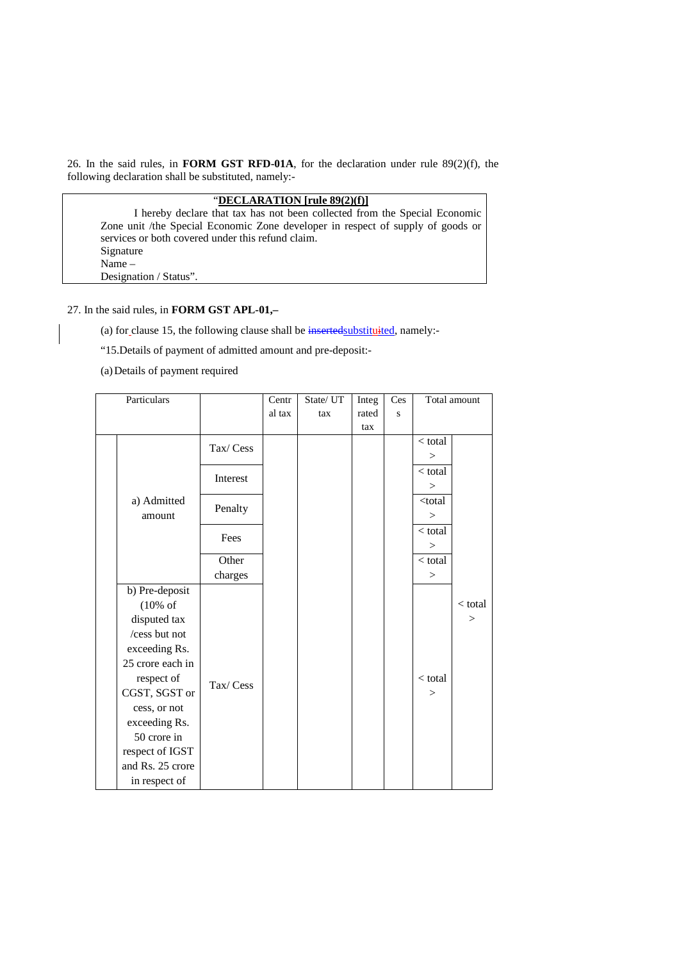26. In the said rules, in **FORM GST RFD-01A**, for the declaration under rule 89(2)(f), the following declaration shall be substituted, namely:-

| "DECLARATION [rule $89(2)(f)$ ]                                                 |
|---------------------------------------------------------------------------------|
| I hereby declare that tax has not been collected from the Special Economic      |
| Zone unit /the Special Economic Zone developer in respect of supply of goods or |
| services or both covered under this refund claim.                               |
| Signature                                                                       |
| $Name-$                                                                         |
| Designation / Status".                                                          |

27. In the said rules, in **FORM GST APL-01,–** 

(a) for clause 15, the following clause shall be inserted substituited, namely:-

"15.Details of payment of admitted amount and pre-deposit:-

(a)Details of payment required

| Particulars |                     |          | Centr  | State/UT | Integ | Ces |                                  | Total amount |
|-------------|---------------------|----------|--------|----------|-------|-----|----------------------------------|--------------|
|             |                     |          | al tax | tax      | rated | S   |                                  |              |
|             |                     |          |        |          | tax   |     |                                  |              |
|             |                     | Tax/Cess |        |          |       |     | $<$ total                        |              |
|             |                     |          |        |          |       |     | >                                |              |
|             |                     |          |        |          |       |     | $<$ total                        |              |
|             |                     | Interest |        |          |       |     | >                                |              |
|             | a) Admitted         |          |        |          |       |     | <total< td=""><td></td></total<> |              |
|             | amount              | Penalty  |        |          |       |     | >                                |              |
|             |                     |          |        |          |       |     | $<$ total                        |              |
|             |                     | Fees     |        |          |       |     | >                                |              |
|             |                     | Other    |        |          |       |     | $<$ total                        |              |
|             |                     | charges  |        |          |       |     | >                                |              |
|             | b) Pre-deposit      |          |        |          |       |     |                                  |              |
|             | $(10\% \text{ of }$ |          |        |          |       |     |                                  | $<$ total    |
|             | disputed tax        |          |        |          |       |     |                                  | >            |
|             | /cess but not       |          |        |          |       |     |                                  |              |
|             | exceeding Rs.       |          |        |          |       |     |                                  |              |
|             | 25 crore each in    |          |        |          |       |     |                                  |              |
|             | respect of          |          |        |          |       |     | $<$ total                        |              |
|             | CGST, SGST or       | Tax/Cess |        |          |       |     | >                                |              |
|             | cess, or not        |          |        |          |       |     |                                  |              |
|             | exceeding Rs.       |          |        |          |       |     |                                  |              |
|             | 50 crore in         |          |        |          |       |     |                                  |              |
|             | respect of IGST     |          |        |          |       |     |                                  |              |
|             | and Rs. 25 crore    |          |        |          |       |     |                                  |              |
|             | in respect of       |          |        |          |       |     |                                  |              |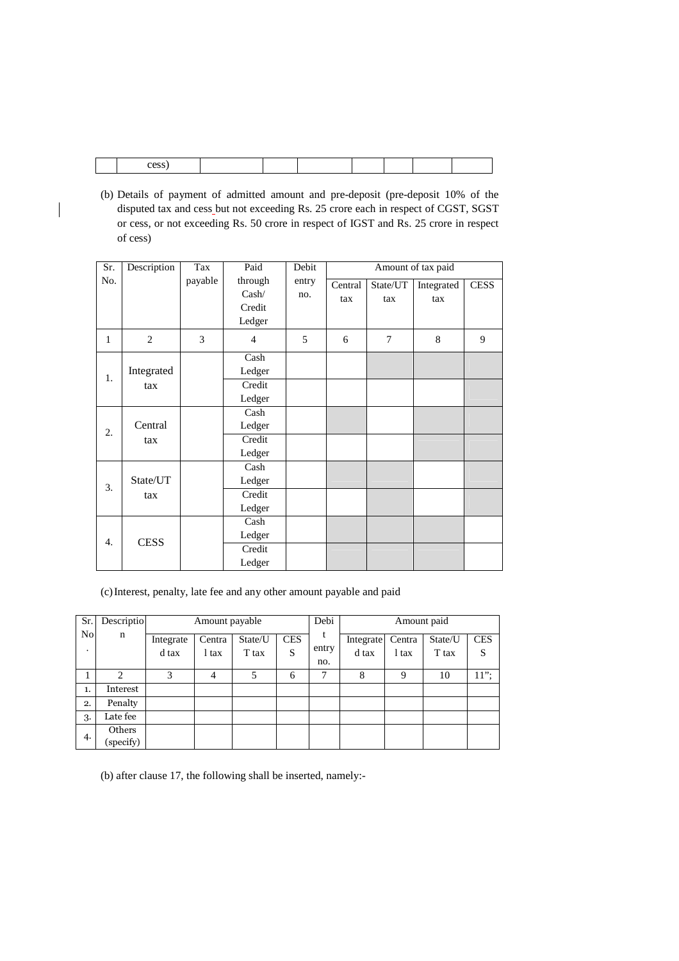(b) Details of payment of admitted amount and pre-deposit (pre-deposit 10% of the disputed tax and cess but not exceeding Rs. 25 crore each in respect of CGST, SGST or cess, or not exceeding Rs. 50 crore in respect of IGST and Rs. 25 crore in respect of cess)

| Sr. | Description       | Tax     | Paid                                 | Debit        | Amount of tax paid |                 |                   |             |
|-----|-------------------|---------|--------------------------------------|--------------|--------------------|-----------------|-------------------|-------------|
| No. |                   | payable | through<br>Cash/<br>Credit<br>Ledger | entry<br>no. | Central<br>tax     | State/UT<br>tax | Integrated<br>tax | <b>CESS</b> |
| 1   | $\overline{2}$    | 3       | $\overline{4}$                       | 5            | 6                  | $\tau$          | 8                 | 9           |
| 1.  | Integrated<br>tax |         | Cash<br>Ledger<br>Credit<br>Ledger   |              |                    |                 |                   |             |
| 2.  | Central<br>tax    |         | Cash<br>Ledger<br>Credit<br>Ledger   |              |                    |                 |                   |             |
| 3.  | State/UT<br>tax   |         | Cash<br>Ledger<br>Credit<br>Ledger   |              |                    |                 |                   |             |
| 4.  | <b>CESS</b>       |         | Cash<br>Ledger<br>Credit<br>Ledger   |              |                    |                 |                   |             |

(c)Interest, penalty, late fee and any other amount payable and paid

| Sr. | Descriptio          | Amount payable     |                 |                  | Debi            |            | Amount paid        |                 |                  |                 |
|-----|---------------------|--------------------|-----------------|------------------|-----------------|------------|--------------------|-----------------|------------------|-----------------|
| No  | n                   | Integrate<br>d tax | Centra<br>l tax | State/U<br>T tax | <b>CES</b><br>S | t<br>entry | Integrate<br>d tax | Centra<br>l tax | State/U<br>T tax | <b>CES</b><br>S |
|     |                     |                    |                 |                  |                 | no.        |                    |                 |                  |                 |
|     | $\mathcal{L}$       | 3                  | 4               | 5                | 6               | 7          | 8                  | 9               | 10               | $11$ ":         |
| 1.  | Interest            |                    |                 |                  |                 |            |                    |                 |                  |                 |
| 2.  | Penalty             |                    |                 |                  |                 |            |                    |                 |                  |                 |
| 3.  | Late fee            |                    |                 |                  |                 |            |                    |                 |                  |                 |
| 4.  | Others<br>(specify) |                    |                 |                  |                 |            |                    |                 |                  |                 |

(b) after clause 17, the following shall be inserted, namely:-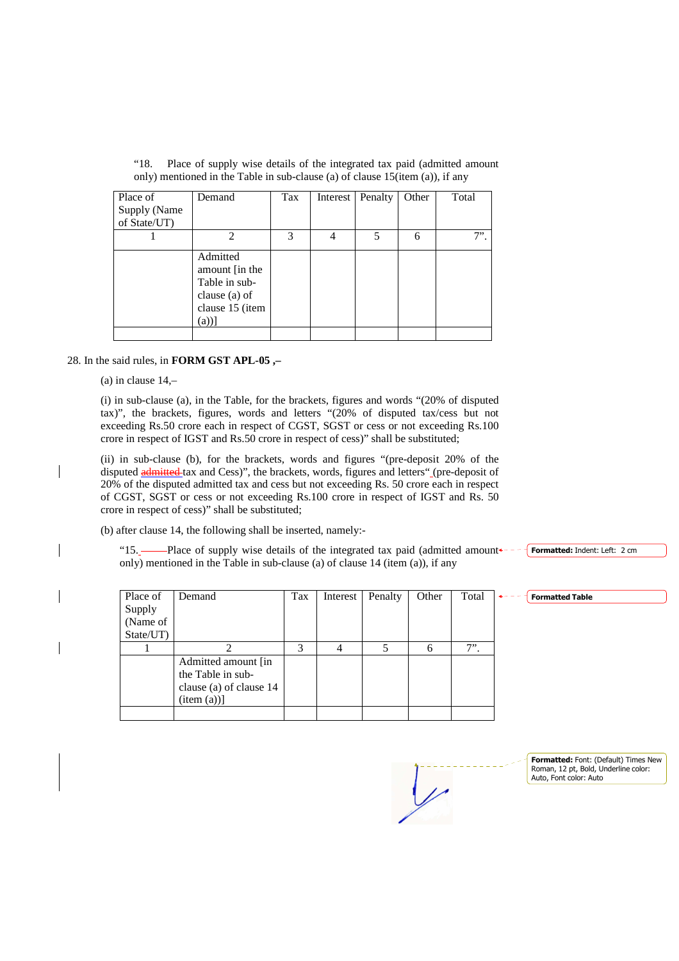| Place of     | Demand                                                                                   | Tax | Interest | Penalty | Other | Total |
|--------------|------------------------------------------------------------------------------------------|-----|----------|---------|-------|-------|
| Supply (Name |                                                                                          |     |          |         |       |       |
| of State/UT) |                                                                                          |     |          |         |       |       |
|              | $\mathcal{D}$                                                                            | 3   |          | 5       | 6     | 7"    |
|              | Admitted<br>amount [in the<br>Table in sub-<br>clause (a) of<br>clause 15 (item<br>(a))] |     |          |         |       |       |
|              |                                                                                          |     |          |         |       |       |

"18. Place of supply wise details of the integrated tax paid (admitted amount only) mentioned in the Table in sub-clause (a) of clause 15(item (a)), if any

#### 28. In the said rules, in **FORM GST APL-05 ,–**

(a) in clause 14,–

(i) in sub-clause (a), in the Table, for the brackets, figures and words "(20% of disputed tax)", the brackets, figures, words and letters "(20% of disputed tax/cess but not exceeding Rs.50 crore each in respect of CGST, SGST or cess or not exceeding Rs.100 crore in respect of IGST and Rs.50 crore in respect of cess)" shall be substituted;

(ii) in sub-clause (b), for the brackets, words and figures "(pre-deposit 20% of the disputed **admitted** tax and Cess)", the brackets, words, figures and letters" (pre-deposit of 20% of the disputed admitted tax and cess but not exceeding Rs. 50 crore each in respect of CGST, SGST or cess or not exceeding Rs.100 crore in respect of IGST and Rs. 50 crore in respect of cess)" shall be substituted;

(b) after clause 14, the following shall be inserted, namely:-

"15. Place of supply wise details of the integrated tax paid (admitted amount only) mentioned in the Table in sub-clause (a) of clause 14 (item (a)), if any

| Place of  | Demand                  | Tax | Interest | Penalty | Other | Total |  |
|-----------|-------------------------|-----|----------|---------|-------|-------|--|
| Supply    |                         |     |          |         |       |       |  |
| (Name of  |                         |     |          |         |       |       |  |
| State/UT) |                         |     |          |         |       |       |  |
|           | っ                       | 3   |          |         |       | $7$ . |  |
|           | Admitted amount [in]    |     |          |         |       |       |  |
|           | the Table in sub-       |     |          |         |       |       |  |
|           | clause (a) of clause 14 |     |          |         |       |       |  |
|           | item (a))]              |     |          |         |       |       |  |
|           |                         |     |          |         |       |       |  |

**Formatted:** Font: (Default) Times New Roman, 12 pt, Bold, Underline color: Auto, Font color: Auto

**Formatted:** Indent: Left: 2 cm

**Formatted Table**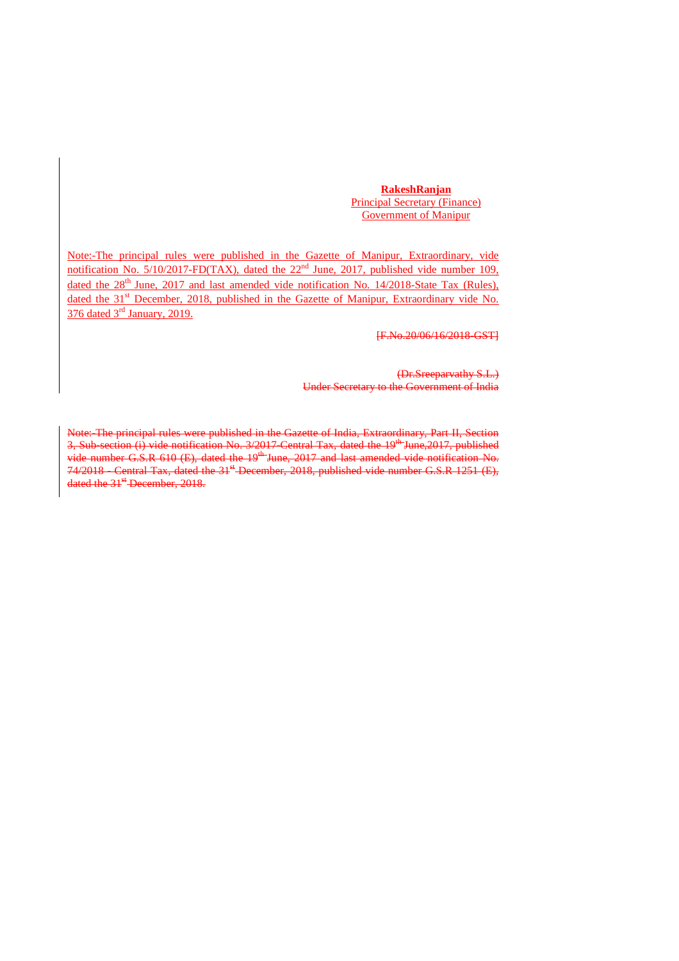**RakeshRanjan** Principal Secretary (Finance) Government of Manipur

Note:-The principal rules were published in the Gazette of Manipur, Extraordinary, vide notification No.  $5/10/2017$ -FD(TAX), dated the  $22<sup>nd</sup>$  June, 2017, published vide number 109, dated the  $28<sup>th</sup>$  June, 2017 and last amended vide notification No. 14/2018-State Tax (Rules), dated the 31<sup>st</sup> December, 2018, published in the Gazette of Manipur, Extraordinary vide No. 376 dated 3rd January, 2019.

[F.No.20/06/16/2018-GST]

(Dr.Sreeparvathy S.L.) Under Secretary to the Government of India

Note: The principal rules were published in the Gazette of India, Extraordinary, Part II, Section 3, Sub-section (i) vide notification No. 3/2017 Central Tax, dated the 19<sup>th</sup> June,2017, published vide number G.S.R  $610$  (E), dated the  $19<sup>th</sup>$  June, 2017 and last amended vide notification No.  $74/2018$  - Central Tax, dated the  $31<sup>st</sup>$ -December, 2018, published vide number G.S.R 1251 (E), dated the 31<sup>st</sup> December, 2018.